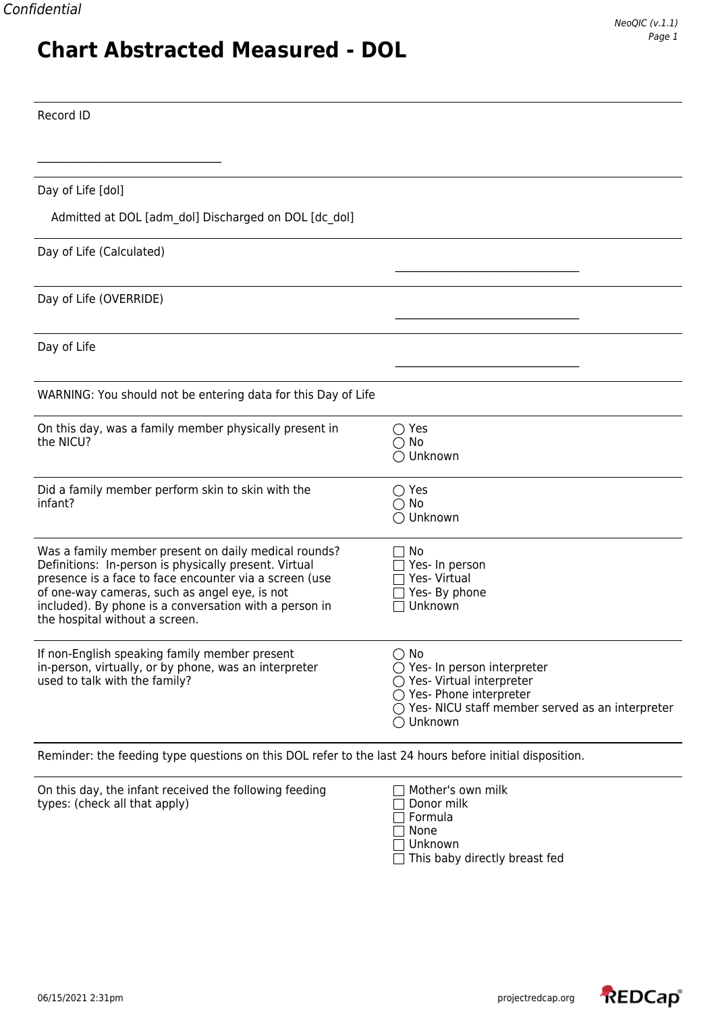## Record ID

 $\mathcal{L}_\text{max}$  , where  $\mathcal{L}_\text{max}$  and  $\mathcal{L}_\text{max}$  and  $\mathcal{L}_\text{max}$ 

| Day of Life [dol]                                                                                                                                                                                                                                                                                                    |                                                                                                                                                                                    |
|----------------------------------------------------------------------------------------------------------------------------------------------------------------------------------------------------------------------------------------------------------------------------------------------------------------------|------------------------------------------------------------------------------------------------------------------------------------------------------------------------------------|
| Admitted at DOL [adm_dol] Discharged on DOL [dc_dol]                                                                                                                                                                                                                                                                 |                                                                                                                                                                                    |
| Day of Life (Calculated)                                                                                                                                                                                                                                                                                             |                                                                                                                                                                                    |
| Day of Life (OVERRIDE)                                                                                                                                                                                                                                                                                               |                                                                                                                                                                                    |
| Day of Life                                                                                                                                                                                                                                                                                                          |                                                                                                                                                                                    |
| WARNING: You should not be entering data for this Day of Life                                                                                                                                                                                                                                                        |                                                                                                                                                                                    |
| On this day, was a family member physically present in<br>the NICU?                                                                                                                                                                                                                                                  | $\bigcirc$ Yes<br>$\bigcirc$ No<br>◯ Unknown                                                                                                                                       |
| Did a family member perform skin to skin with the<br>infant?                                                                                                                                                                                                                                                         | $\bigcirc$ Yes<br>$\bigcirc$ No<br>◯ Unknown                                                                                                                                       |
| Was a family member present on daily medical rounds?<br>Definitions: In-person is physically present. Virtual<br>presence is a face to face encounter via a screen (use<br>of one-way cameras, such as angel eye, is not<br>included). By phone is a conversation with a person in<br>the hospital without a screen. | No<br>Yes- In person<br>Yes- Virtual<br>Yes- By phone<br>Unknown                                                                                                                   |
| If non-English speaking family member present<br>in-person, virtually, or by phone, was an interpreter<br>used to talk with the family?                                                                                                                                                                              | $\bigcirc$ No<br>$\bigcirc$ Yes- In person interpreter<br>○ Yes- Virtual interpreter<br>◯ Yes- Phone interpreter<br>○ Yes- NICU staff member served as an interpreter<br>◯ Unknown |

Reminder: the feeding type questions on this DOL refer to the last 24 hours before initial disposition.

| On this day, the infant received the following feeding | Mother's own milk |
|--------------------------------------------------------|-------------------|
| types: (check all that apply)                          | $\Box$ Donor milk |
|                                                        | l Formula         |
|                                                        | None              |
|                                                        | Unknown           |
|                                                        |                   |